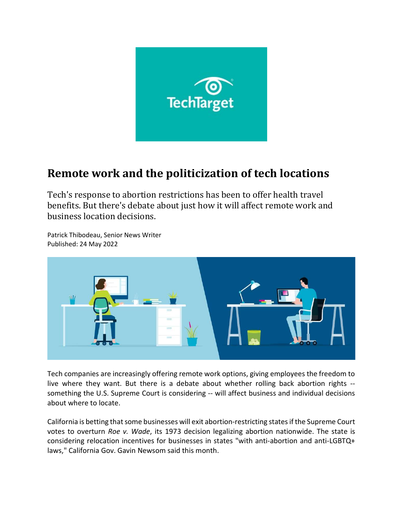

## Remote work and the politicization of tech locations

Tech's response to abortion restrictions has been to offer health travel benefits. But there's debate about just how it will affect remote work and business location decisions.



Patrick Thibodeau, Senior News Writer Published: 24 May 2022

Tech companies are increasingly offering remote work options, giving employees the freedom to live where they want. But there is a debate about whether rolling back abortion rights - something the U.S. Supreme Court is considering -- will affect business and individual decisions about where to locate.

California is betting that some businesses will exit abortion-restricting states if the Supreme Court votes to overturn Roe v. Wade, its 1973 decision legalizing abortion nationwide. The state is considering relocation incentives for businesses in states "with anti-abortion and anti-LGBTQ+ laws," California Gov. Gavin Newsom said this month.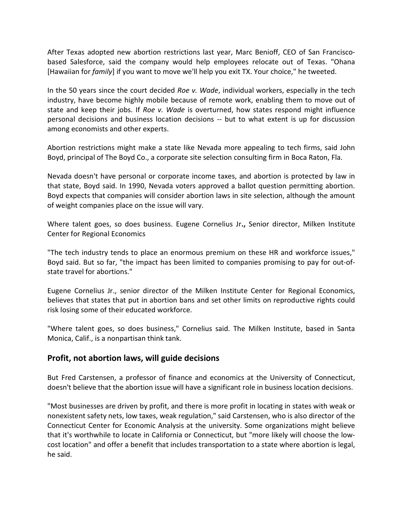After Texas adopted new abortion restrictions last year, Marc Benioff, CEO of San Franciscobased Salesforce, said the company would help employees relocate out of Texas. "Ohana [Hawaiian for family] if you want to move we'll help you exit TX. Your choice," he tweeted.

In the 50 years since the court decided Roe v. Wade, individual workers, especially in the tech industry, have become highly mobile because of remote work, enabling them to move out of state and keep their jobs. If Roe v. Wade is overturned, how states respond might influence personal decisions and business location decisions -- but to what extent is up for discussion among economists and other experts.

Abortion restrictions might make a state like Nevada more appealing to tech firms, said John Boyd, principal of The Boyd Co., a corporate site selection consulting firm in Boca Raton, Fla.

Nevada doesn't have personal or corporate income taxes, and abortion is protected by law in that state, Boyd said. In 1990, Nevada voters approved a ballot question permitting abortion. Boyd expects that companies will consider abortion laws in site selection, although the amount of weight companies place on the issue will vary.

Where talent goes, so does business. Eugene Cornelius Jr., Senior director, Milken Institute Center for Regional Economics

"The tech industry tends to place an enormous premium on these HR and workforce issues," Boyd said. But so far, "the impact has been limited to companies promising to pay for out-ofstate travel for abortions."

Eugene Cornelius Jr., senior director of the Milken Institute Center for Regional Economics, believes that states that put in abortion bans and set other limits on reproductive rights could risk losing some of their educated workforce.

"Where talent goes, so does business," Cornelius said. The Milken Institute, based in Santa Monica, Calif., is a nonpartisan think tank.

## Profit, not abortion laws, will guide decisions

But Fred Carstensen, a professor of finance and economics at the University of Connecticut, doesn't believe that the abortion issue will have a significant role in business location decisions.

"Most businesses are driven by profit, and there is more profit in locating in states with weak or nonexistent safety nets, low taxes, weak regulation," said Carstensen, who is also director of the Connecticut Center for Economic Analysis at the university. Some organizations might believe that it's worthwhile to locate in California or Connecticut, but "more likely will choose the lowcost location" and offer a benefit that includes transportation to a state where abortion is legal, he said.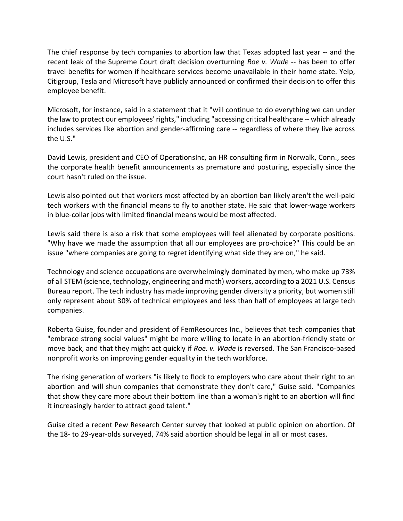The chief response by tech companies to abortion law that Texas adopted last year -- and the recent leak of the Supreme Court draft decision overturning Roe v. Wade -- has been to offer travel benefits for women if healthcare services become unavailable in their home state. Yelp, Citigroup, Tesla and Microsoft have publicly announced or confirmed their decision to offer this employee benefit.

Microsoft, for instance, said in a statement that it "will continue to do everything we can under the law to protect our employees' rights," including "accessing critical healthcare -- which already includes services like abortion and gender-affirming care -- regardless of where they live across the U.S."

David Lewis, president and CEO of OperationsInc, an HR consulting firm in Norwalk, Conn., sees the corporate health benefit announcements as premature and posturing, especially since the court hasn't ruled on the issue.

Lewis also pointed out that workers most affected by an abortion ban likely aren't the well-paid tech workers with the financial means to fly to another state. He said that lower-wage workers in blue-collar jobs with limited financial means would be most affected.

Lewis said there is also a risk that some employees will feel alienated by corporate positions. "Why have we made the assumption that all our employees are pro-choice?" This could be an issue "where companies are going to regret identifying what side they are on," he said.

Technology and science occupations are overwhelmingly dominated by men, who make up 73% of all STEM (science, technology, engineering and math) workers, according to a 2021 U.S. Census Bureau report. The tech industry has made improving gender diversity a priority, but women still only represent about 30% of technical employees and less than half of employees at large tech companies.

Roberta Guise, founder and president of FemResources Inc., believes that tech companies that "embrace strong social values" might be more willing to locate in an abortion-friendly state or move back, and that they might act quickly if Roe. v. Wade is reversed. The San Francisco-based nonprofit works on improving gender equality in the tech workforce.

The rising generation of workers "is likely to flock to employers who care about their right to an abortion and will shun companies that demonstrate they don't care," Guise said. "Companies that show they care more about their bottom line than a woman's right to an abortion will find it increasingly harder to attract good talent."

Guise cited a recent Pew Research Center survey that looked at public opinion on abortion. Of the 18- to 29-year-olds surveyed, 74% said abortion should be legal in all or most cases.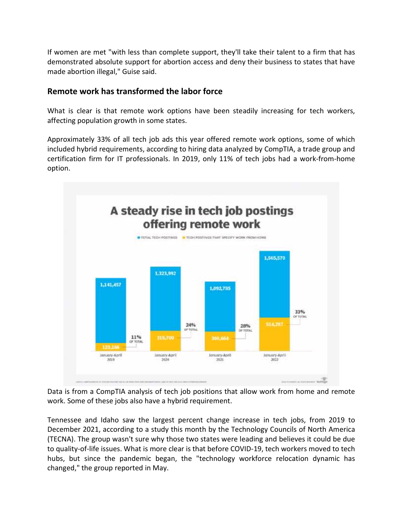If women are met "with less than complete support, they'll take their talent to a firm that has demonstrated absolute support for abortion access and deny their business to states that have made abortion illegal," Guise said.

## Remote work has transformed the labor force

What is clear is that remote work options have been steadily increasing for tech workers, affecting population growth in some states.

Approximately 33% of all tech job ads this year offered remote work options, some of which included hybrid requirements, according to hiring data analyzed by CompTIA, a trade group and certification firm for IT professionals. In 2019, only 11% of tech jobs had a work-from-home option.



Data is from a CompTIA analysis of tech job positions that allow work from home and remote work. Some of these jobs also have a hybrid requirement.

Tennessee and Idaho saw the largest percent change increase in tech jobs, from 2019 to December 2021, according to a study this month by the Technology Councils of North America (TECNA). The group wasn't sure why those two states were leading and believes it could be due to quality-of-life issues. What is more clear is that before COVID-19, tech workers moved to tech hubs, but since the pandemic began, the "technology workforce relocation dynamic has changed," the group reported in May.